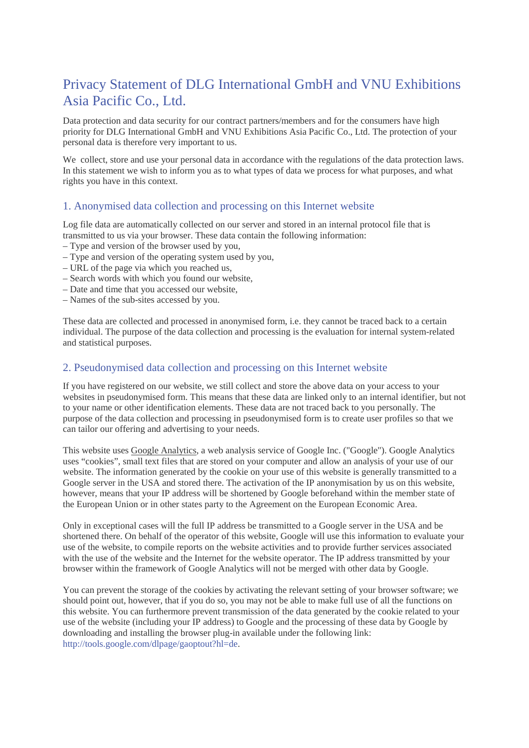# Privacy Statement of DLG International GmbH and VNU Exhibitions Asia Pacific Co., Ltd.

Data protection and data security for our contract partners/members and for the consumers have high priority for DLG International GmbH and VNU Exhibitions Asia Pacific Co., Ltd. The protection of your personal data is therefore very important to us.

We collect, store and use your personal data in accordance with the regulations of the data protection laws. In this statement we wish to inform you as to what types of data we process for what purposes, and what rights you have in this context.

## 1. Anonymised data collection and processing on this Internet website

Log file data are automatically collected on our server and stored in an internal protocol file that is transmitted to us via your browser. These data contain the following information:

- Type and version of the browser used by you,
- Type and version of the operating system used by you,
- URL of the page via which you reached us,
- Search words with which you found our website,
- Date and time that you accessed our website,
- Names of the sub-sites accessed by you.

These data are collected and processed in anonymised form, i.e. they cannot be traced back to a certain individual. The purpose of the data collection and processing is the evaluation for internal system-related and statistical purposes.

# 2. Pseudonymised data collection and processing on this Internet website

If you have registered on our website, we still collect and store the above data on your access to your websites in pseudonymised form. This means that these data are linked only to an internal identifier, but not to your name or other identification elements. These data are not traced back to you personally. The purpose of the data collection and processing in pseudonymised form is to create user profiles so that we can tailor our offering and advertising to your needs.

This website uses Google Analytics, a web analysis service of Google Inc. ("Google"). Google Analytics uses "cookies", small text files that are stored on your computer and allow an analysis of your use of our website. The information generated by the cookie on your use of this website is generally transmitted to a Google server in the USA and stored there. The activation of the IP anonymisation by us on this website, however, means that your IP address will be shortened by Google beforehand within the member state of the European Union or in other states party to the Agreement on the European Economic Area.

Only in exceptional cases will the full IP address be transmitted to a Google server in the USA and be shortened there. On behalf of the operator of this website, Google will use this information to evaluate your use of the website, to compile reports on the website activities and to provide further services associated with the use of the website and the Internet for the website operator. The IP address transmitted by your browser within the framework of Google Analytics will not be merged with other data by Google.

You can prevent the storage of the cookies by activating the relevant setting of your browser software; we should point out, however, that if you do so, you may not be able to make full use of all the functions on this website. You can furthermore prevent transmission of the data generated by the cookie related to your use of the website (including your IP address) to Google and the processing of these data by Google by downloading and installing the browser plug-in available under the following link: [http://tools.google.com/dlpage/gaoptout?hl=de.](http://tools.google.com/dlpage/gaoptout?hl=de)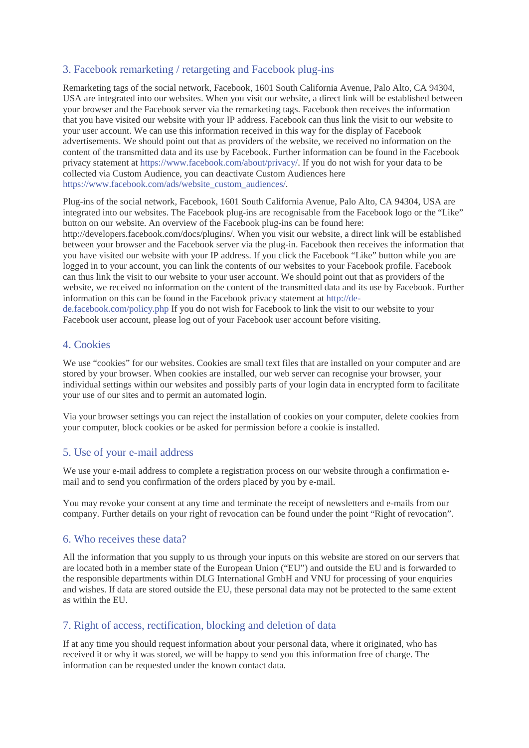# 3. Facebook remarketing / retargeting and Facebook plug-ins

Remarketing tags of the social network, Facebook, 1601 South California Avenue, Palo Alto, CA 94304, USA are integrated into our websites. When you visit our website, a direct link will be established between your browser and the Facebook server via the remarketing tags. Facebook then receives the information that you have visited our website with your IP address. Facebook can thus link the visit to our website to your user account. We can use this information received in this way for the display of Facebook advertisements. We should point out that as providers of the website, we received no information on the content of the transmitted data and its use by Facebook. Further information can be found in the Facebook privacy statement at [https://www.facebook.com/about/privacy/.](https://www.facebook.com/about/privacy/) If you do not wish for your data to be collected via Custom Audience, you can deactivate Custom Audiences here [https://www.facebook.com/ads/website\\_custom\\_audiences/.](https://www.facebook.com/ads/website_custom_audiences/)

Plug-ins of the social network, Facebook, 1601 South California Avenue, Palo Alto, CA 94304, USA are integrated into our websites. The Facebook plug-ins are recognisable from the Facebook logo or the "Like" button on our website. An overview of the Facebook plug-ins can be found here:

http://developers.facebook.com/docs/plugins/. When you visit our website, a direct link will be established between your browser and the Facebook server via the plug-in. Facebook then receives the information that you have visited our website with your IP address. If you click the Facebook "Like" button while you are logged in to your account, you can link the contents of our websites to your Facebook profile. Facebook can thus link the visit to our website to your user account. We should point out that as providers of the website, we received no information on the content of the transmitted data and its use by Facebook. Further information on this can be found in the Facebook privacy statement at [http://de-](http://de-de.facebook.com/policy.php)

[de.facebook.com/policy.php](http://de-de.facebook.com/policy.php) If you do not wish for Facebook to link the visit to our website to your Facebook user account, please log out of your Facebook user account before visiting.

## 4. Cookies

We use "cookies" for our websites. Cookies are small text files that are installed on your computer and are stored by your browser. When cookies are installed, our web server can recognise your browser, your individual settings within our websites and possibly parts of your login data in encrypted form to facilitate your use of our sites and to permit an automated login.

Via your browser settings you can reject the installation of cookies on your computer, delete cookies from your computer, block cookies or be asked for permission before a cookie is installed.

#### 5. Use of your e-mail address

We use your e-mail address to complete a registration process on our website through a confirmation email and to send you confirmation of the orders placed by you by e-mail.

You may revoke your consent at any time and terminate the receipt of newsletters and e-mails from our company. Further details on your right of revocation can be found under the point "Right of revocation".

## 6. Who receives these data?

All the information that you supply to us through your inputs on this website are stored on our servers that are located both in a member state of the European Union ("EU") and outside the EU and is forwarded to the responsible departments within DLG International GmbH and VNU for processing of your enquiries and wishes. If data are stored outside the EU, these personal data may not be protected to the same extent as within the EU.

## 7. Right of access, rectification, blocking and deletion of data

If at any time you should request information about your personal data, where it originated, who has received it or why it was stored, we will be happy to send you this information free of charge. The information can be requested under the known contact data.